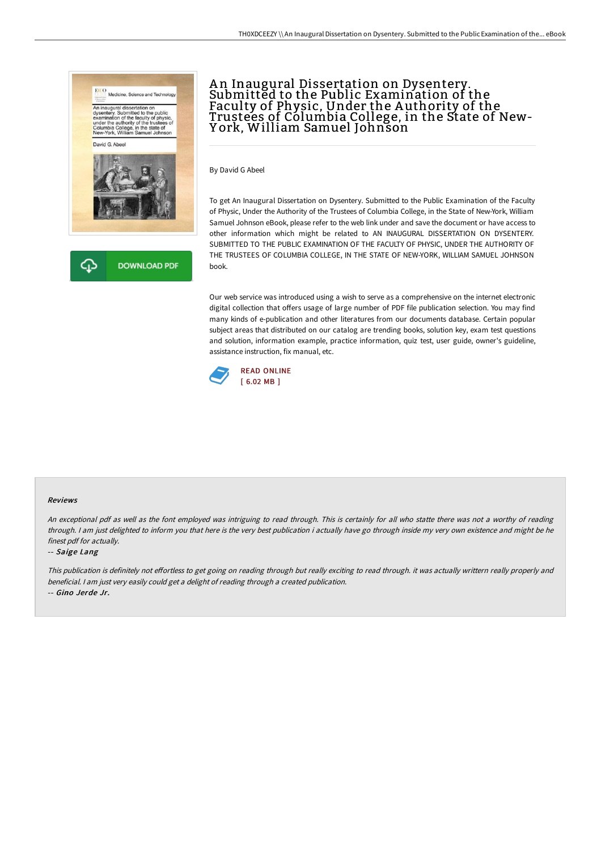



## An Inaugural Dissertation on Dysentery. Submitted to the Public Examination of the Faculty of Physic, Under the Authority of the Trustees of Columbia College, in the State of New-Y ork, William Samuel Johnson

By David G Abeel

To get An Inaugural Dissertation on Dysentery. Submitted to the Public Examination of the Faculty of Physic, Under the Authority of the Trustees of Columbia College, in the State of New-York, William Samuel Johnson eBook, please refer to the web link under and save the document or have access to other information which might be related to AN INAUGURAL DISSERTATION ON DYSENTERY. SUBMITTED TO THE PUBLIC EXAMINATION OF THE FACULTY OF PHYSIC, UNDER THE AUTHORITY OF THE TRUSTEES OF COLUMBIA COLLEGE, IN THE STATE OF NEW-YORK, WILLIAM SAMUEL JOHNSON book.

Our web service was introduced using a wish to serve as a comprehensive on the internet electronic digital collection that offers usage of large number of PDF file publication selection. You may find many kinds of e-publication and other literatures from our documents database. Certain popular subject areas that distributed on our catalog are trending books, solution key, exam test questions and solution, information example, practice information, quiz test, user guide, owner's guideline, assistance instruction, fix manual, etc.



## Reviews

An exceptional pdf as well as the font employed was intriguing to read through. This is certainly for all who statte there was not <sup>a</sup> worthy of reading through. <sup>I</sup> am just delighted to inform you that here is the very best publication i actually have go through inside my very own existence and might be he finest pdf for actually.

## -- Saige Lang

This publication is definitely not effortless to get going on reading through but really exciting to read through. it was actually writtern really properly and beneficial. <sup>I</sup> am just very easily could get <sup>a</sup> delight of reading through <sup>a</sup> created publication. -- Gino Jerde Jr.